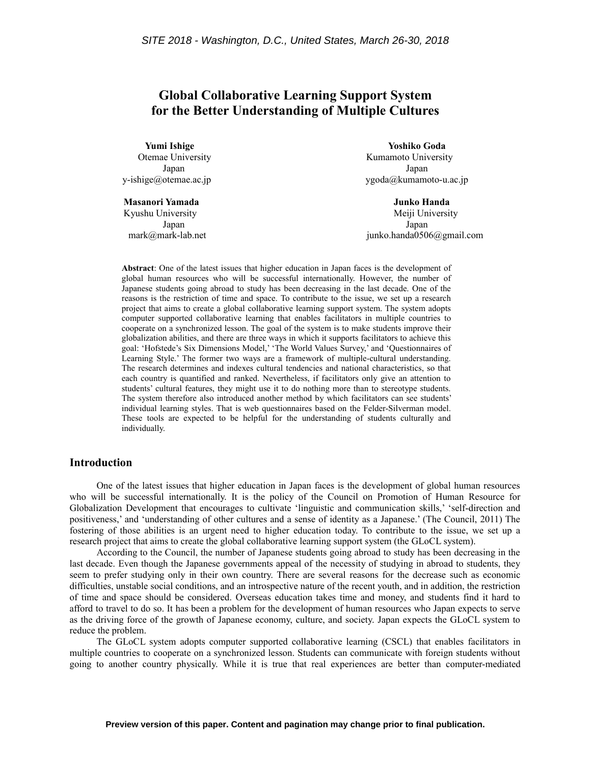# **Global Collaborative Learning Support System for the Better Understanding of Multiple Cultures**

**Masanori Yamada Junko Handa**

**Yumi Ishige Yoshiko Goda** Otemae University **Contains Containers** Kumamoto University Japan Japan y-ishige@otemae.ac.jp ygoda@kumamoto-u.ac.jp

Kyushu University **Meili** University **Meili** University Japan Japan mark@mark-lab.net junko.handa0506@gmail.com

**Abstract**: One of the latest issues that higher education in Japan faces is the development of global human resources who will be successful internationally. However, the number of Japanese students going abroad to study has been decreasing in the last decade. One of the reasons is the restriction of time and space. To contribute to the issue, we set up a research project that aims to create a global collaborative learning support system. The system adopts computer supported collaborative learning that enables facilitators in multiple countries to cooperate on a synchronized lesson. The goal of the system is to make students improve their globalization abilities, and there are three ways in which it supports facilitators to achieve this goal: 'Hofstede's Six Dimensions Model,' 'The World Values Survey,' and 'Questionnaires of Learning Style.' The former two ways are a framework of multiple-cultural understanding. The research determines and indexes cultural tendencies and national characteristics, so that each country is quantified and ranked. Nevertheless, if facilitators only give an attention to students' cultural features, they might use it to do nothing more than to stereotype students. The system therefore also introduced another method by which facilitators can see students' individual learning styles. That is web questionnaires based on the Felder-Silverman model. These tools are expected to be helpful for the understanding of students culturally and individually.

### **Introduction**

One of the latest issues that higher education in Japan faces is the development of global human resources who will be successful internationally. It is the policy of the Council on Promotion of Human Resource for Globalization Development that encourages to cultivate 'linguistic and communication skills,' 'self-direction and positiveness,' and 'understanding of other cultures and a sense of identity as a Japanese.' (The Council, 2011) The fostering of those abilities is an urgent need to higher education today. To contribute to the issue, we set up a research project that aims to create the global collaborative learning support system (the GLoCL system).

According to the Council, the number of Japanese students going abroad to study has been decreasing in the last decade. Even though the Japanese governments appeal of the necessity of studying in abroad to students, they seem to prefer studying only in their own country. There are several reasons for the decrease such as economic difficulties, unstable social conditions, and an introspective nature of the recent youth, and in addition, the restriction of time and space should be considered. Overseas education takes time and money, and students find it hard to afford to travel to do so. It has been a problem for the development of human resources who Japan expects to serve as the driving force of the growth of Japanese economy, culture, and society. Japan expects the GLoCL system to reduce the problem.

The GLoCL system adopts computer supported collaborative learning (CSCL) that enables facilitators in multiple countries to cooperate on a synchronized lesson. Students can communicate with foreign students without going to another country physically. While it is true that real experiences are better than computer-mediated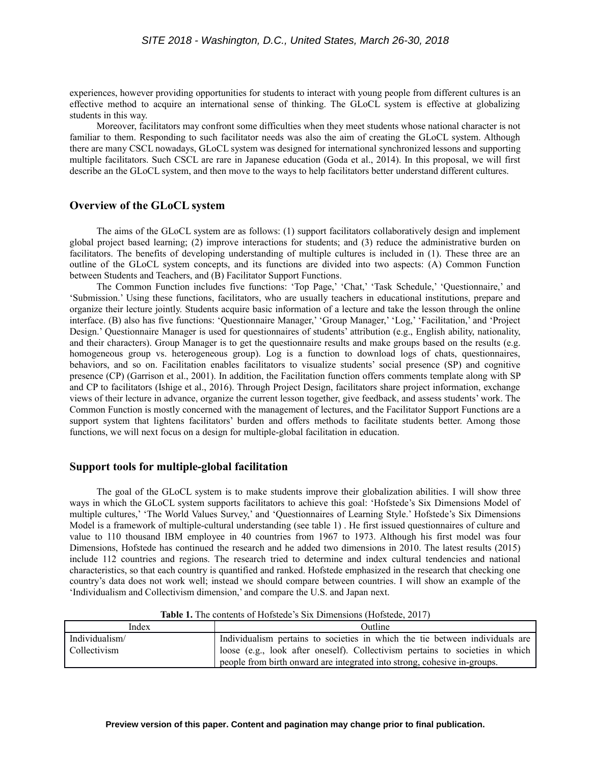experiences, however providing opportunities for students to interact with young people from different cultures is an effective method to acquire an international sense of thinking. The GLoCL system is effective at globalizing students in this way.

Moreover, facilitators may confront some difficulties when they meet students whose national character is not familiar to them. Responding to such facilitator needs was also the aim of creating the GLoCL system. Although there are many CSCL nowadays, GLoCL system was designed for international synchronized lessons and supporting multiple facilitators. Such CSCL are rare in Japanese education (Goda et al., 2014). In this proposal, we will first describe an the GLoCL system, and then move to the ways to help facilitators better understand different cultures.

### **Overview of the GLoCL system**

The aims of the GLoCL system are as follows: (1) support facilitators collaboratively design and implement global project based learning; (2) improve interactions for students; and (3) reduce the administrative burden on facilitators. The benefits of developing understanding of multiple cultures is included in (1). These three are an outline of the GLoCL system concepts, and its functions are divided into two aspects: (A) Common Function between Students and Teachers, and (B) Facilitator Support Functions.

The Common Function includes five functions: 'Top Page,' 'Chat,' 'Task Schedule,' 'Questionnaire,' and 'Submission.' Using these functions, facilitators, who are usually teachers in educational institutions, prepare and organize their lecture jointly. Students acquire basic information of a lecture and take the lesson through the online interface. (B) also has five functions: 'Questionnaire Manager,' 'Group Manager,' 'Log,' 'Facilitation,' and 'Project Design.' Questionnaire Manager is used for questionnaires of students' attribution (e.g., English ability, nationality, and their characters). Group Manager is to get the questionnaire results and make groups based on the results (e.g. homogeneous group vs. heterogeneous group). Log is a function to download logs of chats, questionnaires, behaviors, and so on. Facilitation enables facilitators to visualize students' social presence (SP) and cognitive presence (CP) (Garrison et al., 2001). In addition, the Facilitation function offers comments template along with SP and CP to facilitators (Ishige et al., 2016). Through Project Design, facilitators share project information, exchange views of their lecture in advance, organize the current lesson together, give feedback, and assess students' work. The Common Function is mostly concerned with the management of lectures, and the Facilitator Support Functions are a support system that lightens facilitators' burden and offers methods to facilitate students better. Among those functions, we will next focus on a design for multiple-global facilitation in education.

### **Support tools for multiple-global facilitation**

The goal of the GLoCL system is to make students improve their globalization abilities. I will show three ways in which the GLoCL system supports facilitators to achieve this goal: 'Hofstede's Six Dimensions Model of multiple cultures,' 'The World Values Survey,' and 'Questionnaires of Learning Style.' Hofstede's Six Dimensions Model is a framework of multiple-cultural understanding (see table 1) . He first issued questionnaires of culture and value to 110 thousand IBM employee in 40 countries from 1967 to 1973. Although his first model was four Dimensions, Hofstede has continued the research and he added two dimensions in 2010. The latest results (2015) include 112 countries and regions. The research tried to determine and index cultural tendencies and national characteristics, so that each country is quantified and ranked. Hofstede emphasized in the research that checking one country's data does not work well; instead we should compare between countries. I will show an example of the 'Individualism and Collectivism dimension,' and compare the U.S. and Japan next.

| Index          | Outline:                                                                      |  |
|----------------|-------------------------------------------------------------------------------|--|
| Individualism/ | Individualism pertains to societies in which the tie between individuals are  |  |
| Collectivism   | loose (e.g., look after oneself). Collectivism pertains to societies in which |  |
|                | people from birth onward are integrated into strong, cohesive in-groups.      |  |

**Table 1.** The contents of Hofstede's Six Dimensions (Hofstede, 2017)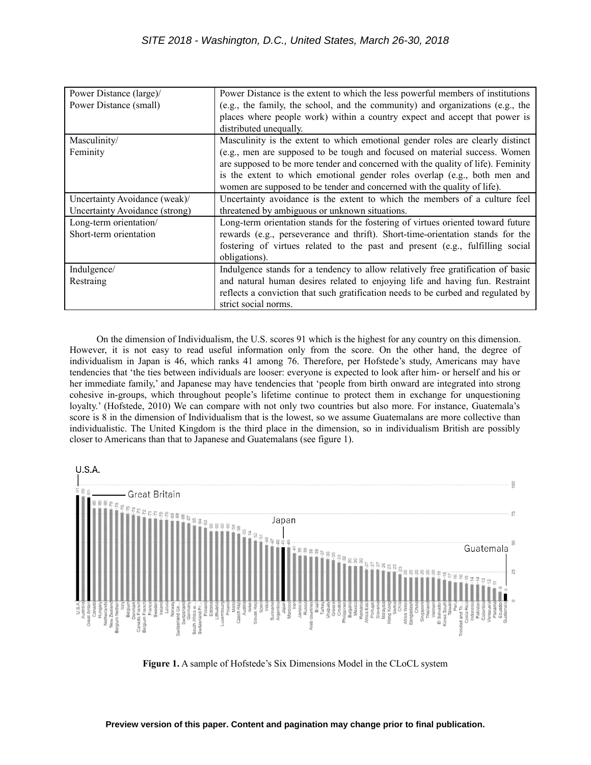| Power Distance (large)/        | Power Distance is the extent to which the less powerful members of institutions   |  |  |  |
|--------------------------------|-----------------------------------------------------------------------------------|--|--|--|
| Power Distance (small)         | (e.g., the family, the school, and the community) and organizations (e.g., the    |  |  |  |
|                                | places where people work) within a country expect and accept that power is        |  |  |  |
|                                | distributed unequally.                                                            |  |  |  |
| Masculinity/                   | Masculinity is the extent to which emotional gender roles are clearly distinct    |  |  |  |
| Feminity                       | (e.g., men are supposed to be tough and focused on material success. Women        |  |  |  |
|                                | are supposed to be more tender and concerned with the quality of life). Feminity  |  |  |  |
|                                | is the extent to which emotional gender roles overlap (e.g., both men and         |  |  |  |
|                                | women are supposed to be tender and concerned with the quality of life).          |  |  |  |
| Uncertainty Avoidance (weak)/  | Uncertainty avoidance is the extent to which the members of a culture feel        |  |  |  |
| Uncertainty Avoidance (strong) | threatened by ambiguous or unknown situations.                                    |  |  |  |
| Long-term orientation/         | Long-term orientation stands for the fostering of virtues oriented toward future  |  |  |  |
| Short-term orientation         | rewards (e.g., perseverance and thrift). Short-time-orientation stands for the    |  |  |  |
|                                | fostering of virtues related to the past and present (e.g., fulfilling social     |  |  |  |
|                                | obligations).                                                                     |  |  |  |
| Indulgence/                    | Indulgence stands for a tendency to allow relatively free gratification of basic  |  |  |  |
| Restraing                      | and natural human desires related to enjoying life and having fun. Restraint      |  |  |  |
|                                | reflects a conviction that such gratification needs to be curbed and regulated by |  |  |  |
|                                | strict social norms.                                                              |  |  |  |

On the dimension of Individualism, the U.S. scores 91 which is the highest for any country on this dimension. However, it is not easy to read useful information only from the score. On the other hand, the degree of individualism in Japan is 46, which ranks 41 among 76. Therefore, per Hofstede's study, Americans may have tendencies that 'the ties between individuals are looser: everyone is expected to look after him- or herself and his or her immediate family,' and Japanese may have tendencies that 'people from birth onward are integrated into strong cohesive in-groups, which throughout people's lifetime continue to protect them in exchange for unquestioning loyalty.' (Hofstede, 2010) We can compare with not only two countries but also more. For instance, Guatemala's score is 8 in the dimension of Individualism that is the lowest, so we assume Guatemalans are more collective than individualistic. The United Kingdom is the third place in the dimension, so in individualism British are possibly closer to Americans than that to Japanese and Guatemalans (see figure 1).



**Figure 1.** A sample of Hofstede's Six Dimensions Model in the CLoCL system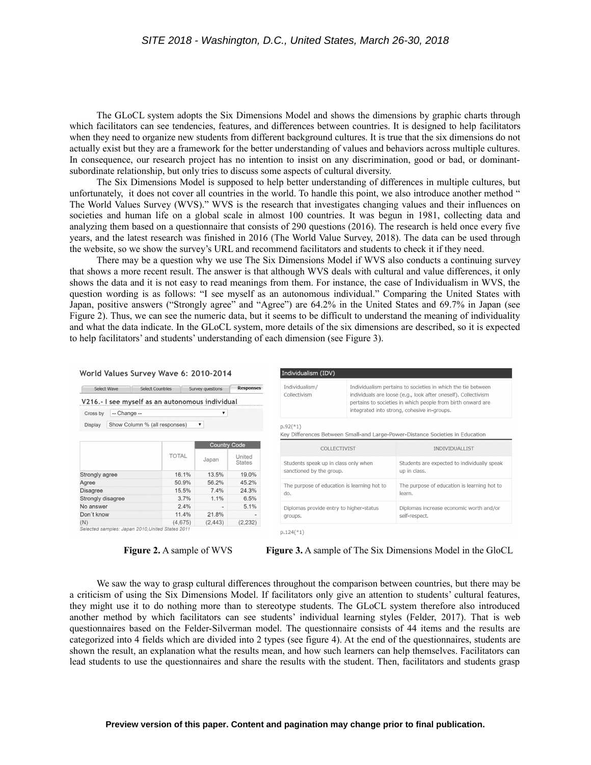The GLoCL system adopts the Six Dimensions Model and shows the dimensions by graphic charts through which facilitators can see tendencies, features, and differences between countries. It is designed to help facilitators when they need to organize new students from different background cultures. It is true that the six dimensions do not actually exist but they are a framework for the better understanding of values and behaviors across multiple cultures. In consequence, our research project has no intention to insist on any discrimination, good or bad, or dominantsubordinate relationship, but only tries to discuss some aspects of cultural diversity.

The Six Dimensions Model is supposed to help better understanding of differences in multiple cultures, but unfortunately, it does not cover all countries in the world. To handle this point, we also introduce another method " The World Values Survey (WVS)." WVS is the research that investigates changing values and their influences on societies and human life on a global scale in almost 100 countries. It was begun in 1981, collecting data and analyzing them based on a questionnaire that consists of 290 questions (2016). The research is held once every five years, and the latest research was finished in 2016 (The World Value Survey, 2018). The data can be used through the website, so we show the survey's URL and recommend facilitators and students to check it if they need.

There may be a question why we use The Six Dimensions Model if WVS also conducts a continuing survey that shows a more recent result. The answer is that although WVS deals with cultural and value differences, it only shows the data and it is not easy to read meanings from them. For instance, the case of Individualism in WVS, the question wording is as follows: "I see myself as an autonomous individual." Comparing the United States with Japan, positive answers ("Strongly agree" and "Agree") are 64.2% in the United States and 69.7% in Japan (see Figure 2). Thus, we can see the numeric data, but it seems to be difficult to understand the meaning of individuality and what the data indicate. In the GLoCL system, more details of the six dimensions are described, so it is expected to help facilitators' and students' understanding of each dimension (see Figure 3).

| Select Wave       | <b>Select Countries</b>                          |              | Survey questions    | <b>Responses</b>        |  |  |
|-------------------|--------------------------------------------------|--------------|---------------------|-------------------------|--|--|
|                   | V216.- I see myself as an autonomous individual  |              |                     |                         |  |  |
| Cross by          | -- Change --<br>▼                                |              |                     |                         |  |  |
| Display           | Show Column % (all responses)                    |              | ▼                   |                         |  |  |
|                   |                                                  |              | <b>Country Code</b> |                         |  |  |
|                   |                                                  | <b>TOTAL</b> | Japan               | United<br><b>States</b> |  |  |
| Strongly agree    |                                                  | 16.1%        | 13.5%               | 19.0%                   |  |  |
| Agree             |                                                  | 50.9%        | 56.2%               | 45.2%                   |  |  |
| <b>Disagree</b>   |                                                  | 15.5%        | 7.4%                | 24.3%                   |  |  |
| Strongly disagree |                                                  | 3.7%         | 1.1%                | 6.5%                    |  |  |
| No answer         |                                                  | 2.4%         |                     | 5.1%                    |  |  |
| Don't know        |                                                  | 11.4%        | 21.8%               |                         |  |  |
| (N)               |                                                  | (4.675)      | (2, 443)            | (2,232)                 |  |  |
|                   | Selected samples: Japan 2010. United States 2011 |              |                     |                         |  |  |

| Individualism (IDV)                                                                                     |                                                                                                                                                                                                                                              |                                                             |  |  |  |
|---------------------------------------------------------------------------------------------------------|----------------------------------------------------------------------------------------------------------------------------------------------------------------------------------------------------------------------------------------------|-------------------------------------------------------------|--|--|--|
| Individualism/<br>Collectivism                                                                          | Individualism pertains to societies in which the tie between<br>individuals are loose (e.g., look after oneself). Collectivism<br>pertains to societies in which people from birth onward are<br>integrated into strong, cohesive in-groups. |                                                             |  |  |  |
| $p.92$ <sup>(*1)</sup><br>Key Differences Between Small-and Large-Power-Distance Societies in Education |                                                                                                                                                                                                                                              |                                                             |  |  |  |
| COLLECTIVIST                                                                                            |                                                                                                                                                                                                                                              | <b>INDIVIDUALLIST</b>                                       |  |  |  |
| Students speak up in class only when<br>sanctioned by the group.                                        |                                                                                                                                                                                                                                              | Students are expected to individually speak<br>up in class. |  |  |  |
| The purpose of education is learning hot to<br>do.                                                      |                                                                                                                                                                                                                                              | The purpose of education is learning hot to<br>learn.       |  |  |  |
| Diplomas provide entry to higher-status<br>groups.                                                      |                                                                                                                                                                                                                                              | Diplomas increase economic worth and/or<br>self-respect.    |  |  |  |

World Values Survey Wave 6: 2010-2014

**Figure 2.** A sample of WVS **Figure 3.** A sample of The Six Dimensions Model in the GloCL

We saw the way to grasp cultural differences throughout the comparison between countries, but there may be a criticism of using the Six Dimensions Model. If facilitators only give an attention to students' cultural features, they might use it to do nothing more than to stereotype students. The GLoCL system therefore also introduced another method by which facilitators can see students' individual learning styles (Felder, 2017). That is web questionnaires based on the Felder-Silverman model. The questionnaire consists of 44 items and the results are categorized into 4 fields which are divided into 2 types (see figure 4). At the end of the questionnaires, students are shown the result, an explanation what the results mean, and how such learners can help themselves. Facilitators can lead students to use the questionnaires and share the results with the student. Then, facilitators and students grasp

 $p.124$ <sup>(\*1)</sup>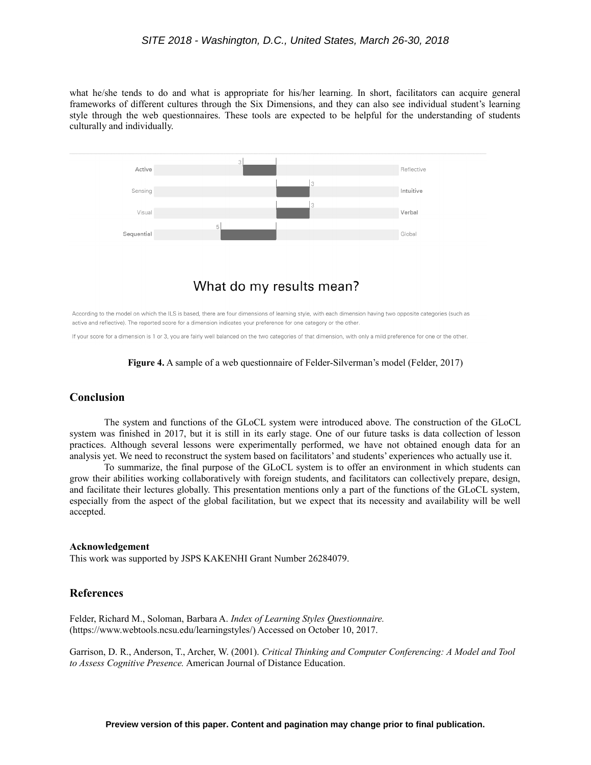what he/she tends to do and what is appropriate for his/her learning. In short, facilitators can acquire general frameworks of different cultures through the Six Dimensions, and they can also see individual student's learning style through the web questionnaires. These tools are expected to be helpful for the understanding of students culturally and individually.



## What do my results mean?

According to the model on which the ILS is based, there are four dimensions of learning style, with each dimension having two opposite categories (such as active and reflective). The reported score for a dimension indicates your preference for one category or the other.

If your score for a dimension is 1 or 3, you are fairly well balanced on the two categories of that dimension, with only a mild preference for one or the other.



## **Conclusion**

The system and functions of the GLoCL system were introduced above. The construction of the GLoCL system was finished in 2017, but it is still in its early stage. One of our future tasks is data collection of lesson practices. Although several lessons were experimentally performed, we have not obtained enough data for an analysis yet. We need to reconstruct the system based on facilitators' and students' experiences who actually use it.

To summarize, the final purpose of the GLoCL system is to offer an environment in which students can grow their abilities working collaboratively with foreign students, and facilitators can collectively prepare, design, and facilitate their lectures globally. This presentation mentions only a part of the functions of the GLoCL system, especially from the aspect of the global facilitation, but we expect that its necessity and availability will be well accepted.

#### **Acknowledgement**

This work was supported by JSPS KAKENHI Grant Number 26284079.

## **References**

Felder, Richard M., Soloman, Barbara A. *Index of Learning Styles Questionnaire.* (https://www.webtools.ncsu.edu/learningstyles/) Accessed on October 10, 2017.

Garrison, D. R., Anderson, T., Archer, W. (2001). *Critical Thinking and Computer Conferencing: A Model and Tool to Assess Cognitive Presence.* American Journal of Distance Education.